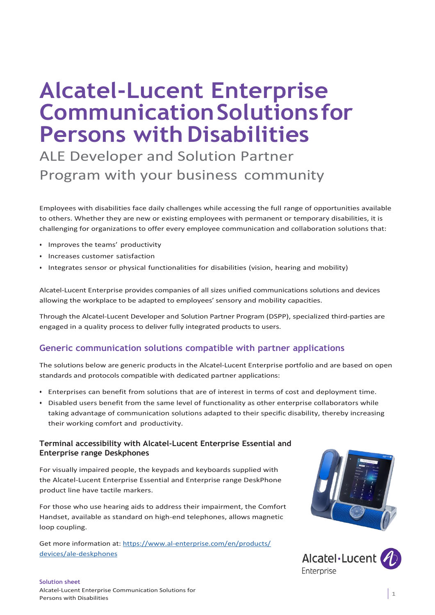# **Alcatel-Lucent Enterprise CommunicationSolutionsfor Persons with Disabilities**

ALE Developer and Solution Partner Program with your business community

Employees with disabilities face daily challenges while accessing the full range of opportunities available to others. Whether they are new or existing employees with permanent or temporary disabilities, it is challenging for organizations to offer every employee communication and collaboration solutions that:

- Improves the teams' productivity
- Increases customer satisfaction
- Integrates sensor or physical functionalities for disabilities (vision, hearing and mobility)

Alcatel-Lucent Enterprise provides companies of all sizes unified communications solutions and devices allowing the workplace to be adapted to employees' sensory and mobility capacities.

Through the Alcatel-Lucent Developer and Solution Partner Program (DSPP), specialized third-parties are engaged in a quality process to deliver fully integrated products to users.

# **Generic communication solutions compatible with partner applications**

The solutions below are generic products in the Alcatel-Lucent Enterprise portfolio and are based on open standards and protocols compatible with dedicated partner applications:

- Enterprises can benefit from solutions that are of interest in terms of cost and deployment time.
- Disabled users benefit from the same level of functionality as other enterprise collaborators while taking advantage of communication solutions adapted to their specific disability, thereby increasing their working comfort and productivity.

#### **Terminal accessibility with Alcatel-Lucent Enterprise Essential and Enterprise range Deskphones**

For visually impaired people, the keypads and keyboards supplied with the Alcatel-Lucent Enterprise Essential and Enterprise range DeskPhone product line have tactile markers.

For those who use hearing aids to address their impairment, the Comfort Handset, available as standard on high-end telephones, allows magnetic loop coupling.

Get more information at: [https://www.al-enterprise.com/en/products/](https://www.al-enterprise.com/en/products/devices/ale-deskphones) [devices/ale-deskphones](https://www.al-enterprise.com/en/products/applications/ip-desktop-softphone)



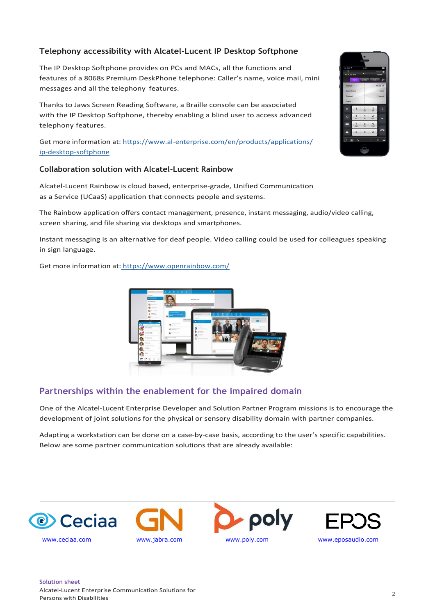## **Telephony accessibility with Alcatel-Lucent IP Desktop Softphone**

The IP Desktop Softphone provides on PCs and MACs, all the functions and features of a 8068s Premium DeskPhone telephone: Caller's name, voice mail, mini messages and all the telephony features.

Thanks to Jaws Screen Reading Software, a Braille console can be associated with the IP Desktop Softphone, thereby enabling a blind user to access advanced telephony features.

Get more information at: [https://www.al-enterprise.com/en/products/applications/](https://www.al-enterprise.com/en/products/applications/ip-desktop-softphone) [ip-desktop-softphone](https://www.al-enterprise.com/en/products/applications/ip-desktop-softphone)

### **Collaboration solution with Alcatel-Lucent Rainbow**

Alcatel-Lucent Rainbow is cloud based, enterprise-grade, Unified Communication as a Service (UCaaS) application that connects people and systems.

The Rainbow application offers contact management, presence, instant messaging, audio/video calling, screen sharing, and file sharing via desktops and smartphones.

Instant messaging is an alternative for deaf people. Video calling could be used for colleagues speaking in sign language.

Get more information at: https:[//www.openrainbow.com/](http://www.openrainbow.com/)



# **Partnerships within the enablement for the impaired domain**

One of the Alcatel-Lucent Enterprise Developer and Solution Partner Program missions is to encourage the development of joint solutions for the physical or sensory disability domain with partner companies.

Adapting a workstation can be done on a case-by-case basis, according to the user's specific capabilities. Below are some partner communication solutions that are already available:









#### **Solution sheet** Alcatel-Lucent Enterprise Communication Solutions for Persons with Disabilities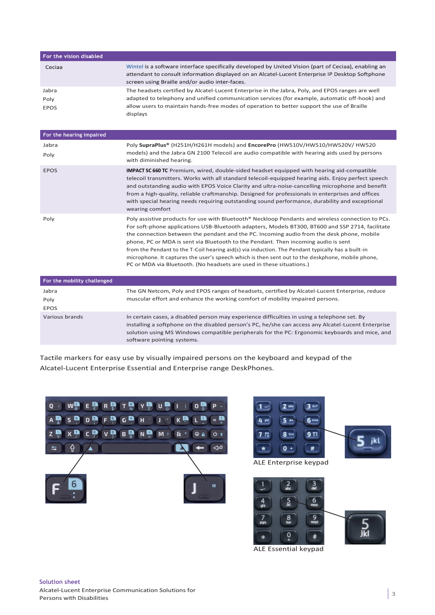| For the vision disabled      |                                                                                                                                                                                                                                                                                                                                                                                                                                                                                                                                                                                                                                                                           |
|------------------------------|---------------------------------------------------------------------------------------------------------------------------------------------------------------------------------------------------------------------------------------------------------------------------------------------------------------------------------------------------------------------------------------------------------------------------------------------------------------------------------------------------------------------------------------------------------------------------------------------------------------------------------------------------------------------------|
| Ceciaa                       | Wintel is a software interface specifically developed by United Vision (part of Ceciaa), enabling an<br>attendant to consult information displayed on an Alcatel-Lucent Enterprise IP Desktop Softphone<br>screen using Braille and/or audio inter-faces.                                                                                                                                                                                                                                                                                                                                                                                                                 |
| Jabra<br>Poly<br><b>EPOS</b> | The headsets certified by Alcatel-Lucent Enterprise in the Jabra, Poly, and EPOS ranges are well<br>adapted to telephony and unified communication services (for example, automatic off-hook) and<br>allow users to maintain hands-free modes of operation to better support the use of Braille<br>displays                                                                                                                                                                                                                                                                                                                                                               |
| For the hearing impaired     |                                                                                                                                                                                                                                                                                                                                                                                                                                                                                                                                                                                                                                                                           |
| Jabra<br>Poly                | Poly SupraPlus® (H251H/H261H models) and EncorePro (HW510V/HW510/HW520V/ HW520<br>models) and the Jabra GN 2100 Telecoil are audio compatible with hearing aids used by persons<br>with diminished hearing.                                                                                                                                                                                                                                                                                                                                                                                                                                                               |
| <b>EPOS</b>                  | <b>IMPACT SC 660 TC</b> Premium, wired, double-sided headset equipped with hearing aid-compatible<br>telecoil transmitters. Works with all standard telecoil-equipped hearing aids. Enjoy perfect speech<br>and outstanding audio with EPOS Voice Clarity and ultra-noise-cancelling microphone and benefit<br>from a high-quality, reliable craftmanship. Designed for professionals in enterprises and offices<br>with special hearing needs requiring outstanding sound performance, durability and exceptional<br>wearing comfort                                                                                                                                     |
| Poly                         | Poly assistive products for use with Bluetooth® Neckloop Pendants and wireless connection to PCs.<br>For soft-phone applications USB-Bluetooth adapters, Models BT300, BT600 and SSP 2714, facilitate<br>the connection between the pendant and the PC. Incoming audio from the desk phone, mobile<br>phone, PC or MDA is sent via Bluetooth to the Pendant. Then incoming audio is sent<br>from the Pendant to the T-Coil hearing aid(s) via induction. The Pendant typically has a built-in<br>microphone. It captures the user's speech which is then sent out to the deskphone, mobile phone,<br>PC or MDA via Bluetooth. (No headsets are used in these situations.) |
| For the mobility challenged  |                                                                                                                                                                                                                                                                                                                                                                                                                                                                                                                                                                                                                                                                           |
| Jabra<br>Poly<br><b>EPOS</b> | The GN Netcom, Poly and EPOS ranges of headsets, certified by Alcatel-Lucent Enterprise, reduce<br>muscular effort and enhance the working comfort of mobility impaired persons.                                                                                                                                                                                                                                                                                                                                                                                                                                                                                          |
| Various brands               | In certain cases, a disabled person may experience difficulties in using a telephone set. By<br>installing a softphone on the disabled person's PC, he/she can access any Alcatel-Lucent Enterprise<br>solution using MS Windows compatible peripherals for the PC: Ergonomic keyboards and mice, and                                                                                                                                                                                                                                                                                                                                                                     |

Tactile markers for easy use by visually impaired persons on the keyboard and keypad of the Alcatel-Lucent Enterprise Essential and Enterprise range DeskPhones.

software pointing systems.





ALE Essential keypad